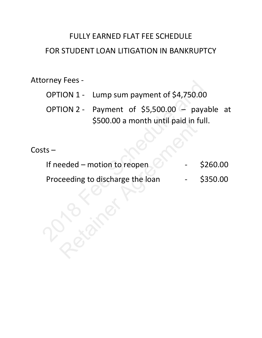# FULLY EARNED FLAT FEE SCHEDULE FOR STUDENT LOAN LITIGATION IN BANKRUPTCY

# Attorney Fees -

- OPTION 1 Lump sum payment of \$4,750.00
- OPTION 2 Payment of \$5,500.00 payable at \$500.00 a month until paid in full.

# Costs –

| ALLUMEY FEES - |                                                                                       |  |  |          |  |
|----------------|---------------------------------------------------------------------------------------|--|--|----------|--|
|                | OPTION 1 - Lump sum payment of \$4,750.00                                             |  |  |          |  |
|                | OPTION 2 - Payment of \$5,500.00 - payable at<br>\$500.00 a month until paid in full. |  |  |          |  |
| Costs –        |                                                                                       |  |  |          |  |
|                | If needed - motion to reopen                                                          |  |  | \$260.00 |  |
|                | Proceeding to discharge the loan                                                      |  |  | \$350.00 |  |
|                |                                                                                       |  |  |          |  |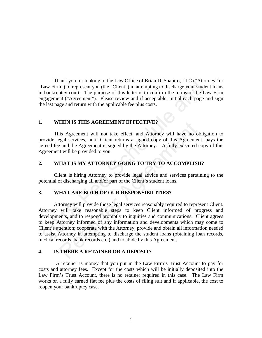Thank you for looking to the Law Office of Brian D. Shapiro, LLC ("Attorney" or "Law Firm") to represent you (the "Client") in attempting to discharge your student loans in bankruptcy court. The purpose of this letter is to confirm the terms of the Law Firm engagement ("Agreement"). Please review and if acceptable, initial each page and sign the last page and return with the applicable fee plus costs.

# **1. WHEN IS THIS AGREEMENT EFFECTIVE?**

This Agreement will not take effect, and Attorney will have no obligation to provide legal services, until Client returns a signed copy of this Agreement, pays the agreed fee and the Agreement is signed by the Attorney. A fully executed copy of this Agreement will be provided to you.

#### **2. WHAT IS MY ATTORNEY GOING TO TRY TO ACCOMPLISH?**

Client is hiring Attorney to provide legal advice and services pertaining to the potential of discharging all and/or part of the Client's student loans.

#### **3. WHAT ARE BOTH OF OUR RESPONSIBILITIES?**

Attorney will provide those legal services reasonably required to represent Client. Attorney will take reasonable steps to keep Client informed of progress and developments, and to respond promptly to inquiries and communications. Client agrees to keep Attorney informed of any information and developments which may come to Client's attention; cooperate with the Attorney, provide and obtain all information needed to assist Attorney in attempting to discharge the student loans (obtaining loan records, medical records, bank records etc.) and to abide by this Agreement. Trans you to riocking to the Law Unite of Brian D. Shapiro, LLC ("Automan") to represent you the "Client") in attempting to discharge your student bankruptcy court. The purpose of this letter is to confirm the terms of the HEN IS THIS AGREEMENT EFFECTIVE?<br>
is Agreement will not take effect, and Attorney will have no cogal services, until Client returns a signed copy of this Agreeme<br>
e and the Agreement is signed by the Attorney. A fully exec

#### **4. IS THERE A RETAINER OR A DEPOSIT?**

A retainer is money that you put in the Law Firm's Trust Account to pay for costs and attorney fees. Except for the costs which will be initially deposited into the Law Firm's Trust Account, there is no retainer required in this case. The Law Firm works on a fully earned flat fee plus the costs of filing suit and if applicable, the cost to reopen your bankruptcy case.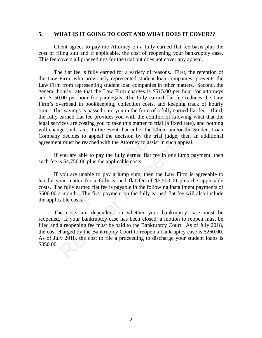# **5. WHAT IS IT GOING TO COST AND WHAT DOES IT COVER??**

Client agrees to pay the Attorney on a fully earned flat fee basis plus the cost of filing suit and if applicable, the cost of reopening your bankruptcy case. This fee covers all proceedings for the trial but does not cover any appeal.

 The flat fee is fully earned for a variety of reasons. First, the retention of the Law Firm, who previously represented student loan companies, prevents the Law Firm from representing student loan companies in other matters. Second, the general hourly rate that the Law Firm charges is \$515.00 per hour for attorneys and \$150.00 per hour for paralegals. The fully earned flat fee reduces the Law Firm's overhead in bookkeeping, collection costs, and keeping track of hourly time. This savings is passed onto you in the form of a fully earned flat fee. Third, the fully earned flat fee provides you with the comfort of knowing what that the legal services are costing you to take this matter to trial (a fixed rate), and nothing will change such rate. In the event that either the Client and/or the Student Loan Company decides to appeal the decision by the trial judge, then an additional agreement must be reached with the Attorney to assist in such appeal. and SI50.00 per hour or practices, The fully earded the matters, Secondencial hourly rate that the Law Firm charges is \$515.00 per hour for atted and \$150.00 per hour for antical summed that fee reduces the fully earned fl

If you are able to pay the fully earned flat fee in one lump payment, then such fee is \$4,750.00 plus the applicable costs.

If you are unable to pay a lump sum, then the Law Firm is agreeable to handle your matter for a fully earned flat fee of \$5,500.00 plus the applicable costs. The fully earned flat fee is payable in the following installment payments of \$500.00 a month. The first payment on the fully earned flat fee will also include the applicable costs.

The costs are dependent on whether your bankruptcy case must be reopened. If your bankruptcy case has been closed, a motion to reopen must be filed and a reopening fee must be paid to the Bankruptcy Court. As of July 2018, the cost charged by the Bankruptcy Court to reopen a bankruptcy case is \$260.00. As of July 2018, the cost to file a proceeding to discharge your student loans is \$350.00. ices are costing you to take this matter to trial (a fixed rate), are such rate. In the event that either the Client and/or the St  $\ell$  decides to appeal the decision by the trial judge, then and the must be reached with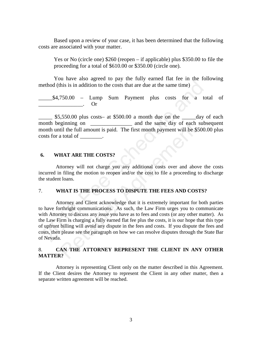Based upon a review of your case, it has been determined that the following costs are associated with your matter.

Yes or No (circle one) \$260 (reopen – if applicable) plus \$350.00 to file the proceeding for a total of \$610.00 or \$350.00 (circle one).

You have also agreed to pay the fully earned flat fee in the following method (this is in addition to the costs that are due at the same time)

\_\_\_\_\_\$4,750.00 – Lump Sum Payment plus costs for a total of  $Or$ 

 $\leq$  \$5,550.00 plus costs– at \$500.00 a month due on the  $\leq$  day of each month beginning on **the same day** of each subsequent month until the full amount is paid. The first month payment will be \$500.00 plus costs for a total of  $\qquad \qquad$ .

# **6. WHAT ARE THE COSTS?**

Attorney will not charge you any additional costs over and above the costs incurred in filing the motion to reopen and/or the cost to file a proceeding to discharge the student loans.

#### 7. **WHAT IS THE PROCESS TO DISPUTE THE FEES AND COSTS?**

Attorney and Client acknowledge that it is extremely important for both parties to have forthright communications. As such, the Law Firm urges you to communicate with Attorney to discuss any issue you have as to fees and costs (or any other matter). As the Law Firm is charging a fully earned flat fee plus the costs, it is our hope that this type of upfront billing will avoid any dispute in the fees and costs. If you dispute the fees and costs, then please see the paragraph on how we can resolve disputes through the State Bar of Nevada. inetial definition to the costs that are due at the same time)<br>
24,750.00 – Lump Sum Payment plus costs for a total<br>
254,750.00 – Lump Sum Payment plus costs for a total<br>
265,550.00 plus costs- at \$500.00 a month due on th Retainer Agreement

# 8. **CAN THE ATTORNEY REPRESENT THE CLIENT IN ANY OTHER MATTER?**

Attorney is representing Client only on the matter described in this Agreement. If the Client desires the Attorney to represent the Client in any other matter, then a separate written agreement will be reached.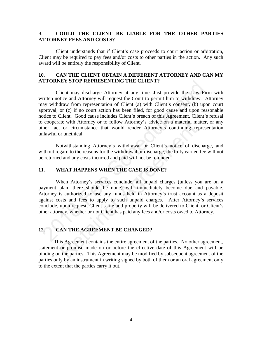# 9. **COULD THE CLIENT BE LIABLE FOR THE OTHER PARTIES ATTORNEY FEES AND COSTS?**

Client understands that if Client's case proceeds to court action or arbitration, Client may be required to pay fees and/or costs to other parties in the action. Any such award will be entirely the responsibility of Client.

# **10. CAN THE CLIENT OBTAIN A DIFFERENT ATTORNEY AND CAN MY ATTORNEY STOP REPRESENTING THE CLIENT?**

Client may discharge Attorney at any time. Just provide the Law Firm with written notice and Attorney will request the Court to permit him to withdraw. Attorney may withdraw from representation of Client (a) with Client's consent**,** (b) upon court approval, or (c) if no court action has been filed, for good cause and upon reasonable notice to Client. Good cause includes Client's breach of this Agreement, Client's refusal to cooperate with Attorney or to follow Attorney's advice on a material matter, or any other fact or circumstance that would render Attorney's continuing representation unlawful or unethical. **EXECUTE:** THORNEY STOP REPRESENTING THE CLIENT?<br>
Client may discharge Attorney at any time. Just provide the Law Firm<br>
printin notice and Attorney will request the Court to permit thin to withdraw. At<br>
may withdraw from

Notwithstanding Attorney's withdrawal or Client's notice of discharge, and without regard to the reasons for the withdrawal or discharge, the fully earned fee will not be returned and any costs incurred and paid will not be refunded.

#### **11. WHAT HAPPENS WHEN THE CASE IS DONE?**

When Attorney's services conclude, all unpaid charges (unless you are on a payment plan, there should be none) will immediately become due and payable. Attorney is authorized to use any funds held in Attorney's trust account as a deposit against costs and fees to apply to such unpaid charges. After Attorney's services conclude, upon request, Client's file and property will be delivered to Client, or Client's other attorney, whether or not Client has paid any fees and/or costs owed to Attorney. ate with Attorney or to follow Attorney's advice on a material minimal or circumstance that would render Attorney's continuing re<br>or unethical.<br>Convithstanding Attorney's withdrawal or Client's notice of dis<br>gard to the re

# **12. CAN THE AGREEMENT BE CHANGED?**

This Agreement contains the entire agreement of the parties. No other agreement, statement or promise made on or before the effective date of this Agreement will be binding on the parties. This Agreement may be modified by subsequent agreement of the parties only by an instrument in writing signed by both of them or an oral agreement only to the extent that the parties carry it out.